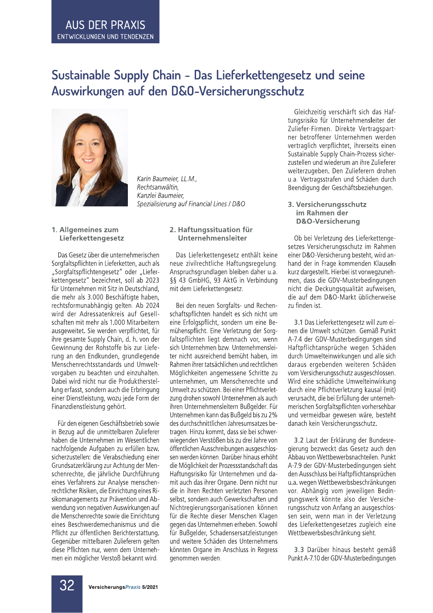## **AUS DER PRAXIS** ENTWICKLUNGEN UND TENDENZEN

# Sustainable Supply Chain - Das Lieferkettengesetz und seine Auswirkungen auf den D&O-Versicherungsschutz



Karin Baumeier, LL.M., Rechtsanwältin, Kanzlei Baumeier, Spezialisierung auf Financial Lines / D&O

### 1. Allgemeines zum Lieferkettengesetz

Das Gesetz über die unternehmerischen Sorgfaltspflichten in Lieferketten, auch als "Sorgfaltspflichtengesetz" oder "Lieferkettengesetz" bezeichnet, soll ab 2023 für Unternehmen mit Sitz in Deutschland, die mehr als 3.000 Beschäftigte haben, rechtsformunabhängig gelten. Ab 2024 wird der Adressatenkreis auf Gesellschaften mit mehr als 1.000 Mitarbeitern ausgeweitet. Sie werden verpflichtet, für ihre gesamte Supply Chain, d. h. von der Gewinnung der Rohstoffe bis zur Lieferung an den Endkunden, grundlegende Menschenrechtsstandards und Umweltvorgaben zu beachten und einzuhalten. Dabei wird nicht nur die Produktherstellung erfasst, sondern auch die Erbringung einer Dienstleistung, wozu jede Form der Finanzdienstleistung gehört.

Für den eigenen Geschäftsbetrieb sowie in Bezug auf die unmittelbaren Zulieferer haben die Unternehmen im Wesentlichen nachfolgende Aufgaben zu erfüllen bzw. sicherzustellen: die Verabschiedung einer Grundsatzerklärung zur Achtung der Menschenrechte, die jährliche Durchführung eines Verfahrens zur Analyse menschenrechtlicher Risiken, die Einrichtung eines Risikomanagements zur Prävention und Abwendung von negativen Auswirkungen auf die Menschenrechte sowie die Einrichtung eines Beschwerdemechanismus und die Pflicht zur öffentlichen Berichterstattung. Gegenüber mittelbaren Zulieferern gelten diese Pflichten nur, wenn dem Unternehmen ein möglicher Verstoß bekannt wird.

### 2. Haftungssituation für Unternehmensleiter

Das Lieferkettengesetz enthält keine neue zivilrechtliche Haftungsregelung. Anspruchsgrundlagen bleiben daher u.a. §§ 43 GmbHG, 93 AktG in Verbindung mit dem Lieferkettengesetz.

Bei den neuen Sorgfalts- und Rechenschaftspflichten handelt es sich nicht um eine Erfolgspflicht, sondern um eine Bemühenspflicht. Eine Verletzung der Sorgfaltspflichten liegt demnach vor, wenn sich Unternehmen bzw. Unternehmensleiter nicht ausreichend bemüht haben, im Rahmen ihrer tatsächlichen und rechtlichen Möglichkeiten angemessene Schritte zu unternehmen, um Menschenrechte und Umwelt zu schützen. Bei einer Pflichtverletzung drohen sowohl Unternehmen als auch ihren Unternehmensleitern Bußgelder. Für Unternehmen kann das Bußgeld bis zu 2% des durchschnittlichen Jahresumsatzes betragen. Hinzu kommt, dass sie bei schwerwiegenden Verstößen bis zu drei Jahre von öffentlichen Ausschreibungen ausgeschlossen werden können. Darüber hinaus erhöht die Möglichkeit der Prozessstandschaft das Haftungsrisiko für Unternehmen und damit auch das ihrer Organe. Denn nicht nur die in ihren Rechten verletzten Personen selbst, sondern auch Gewerkschaften und Nichtregierungsorganisationen können für die Rechte dieser Menschen Klagen gegen das Unternehmen erheben. Sowohl für Bußgelder, Schadensersatzleistungen und weitere Schäden des Unternehmens könnten Organe im Anschluss in Regress genommen werden.

Gleichzeitig verschärft sich das Haftungsrisiko für Unternehmensleiter der Zuliefer-Firmen. Direkte Vertragspartner betroffener Unternehmen werden vertraglich verpflichtet, ihrerseits einen Sustainable Supply Chain-Prozess sicherzustellen und wiederum an ihre Zulieferer weiterzugeben. Den Zulieferern drohen u.a. Vertragsstrafen und Schäden durch Beendigung der Geschäftsbeziehungen.

### 3. Versicherungsschutz im Rahmen der D&O-Versicherung

Ob bei Verletzung des Lieferkettengesetzes Versicherungsschutz im Rahmen einer D&O-Versicherung besteht, wird anhand der in Frage kommenden Klauseln kurz dargestellt. Hierbei ist vorwegzunehmen, dass die GDV-Musterbedingungen nicht die Deckungsqualität aufweisen, die auf dem D&O-Markt üblicherweise zu finden ist.

3.1 Das Lieferkettengesetz will zum einen die Umwelt schützen. Gemäß Punkt A-7.4 der GDV-Musterbedingungen sind Haftpflichtansprüche wegen Schäden durch Umwelteinwirkungen und alle sich daraus ergebenden weiteren Schäden vom Versicherungsschutz ausgeschlossen. Wird eine schädliche Umwelteinwirkung durch eine Pflichtverletzung kausal (mit) verursacht, die bei Erfüllung der unternehmerischen Sorgfaltspflichten vorhersehbar und vermeidbar gewesen wäre, besteht danach kein Versicherungsschutz.

3.2 Laut der Erklärung der Bundesregierung bezweckt das Gesetz auch den Abbau von Wettbewerbsnachteilen. Punkt A-7.9 der GDV-Musterbedingungen sieht den Ausschluss bei Haftpflichtansprüchen u.a. wegen Wettbewerbsbeschränkungen vor. Abhängig vom jeweiligen Bedingungswerk könnte also der Versicherungsschutz von Anfang an ausgeschlossen sein, wenn man in der Verletzung des Lieferkettengesetzes zugleich eine Wettbewerbsbeschränkung sieht.

3.3 Darüber hinaus besteht gemäß Punkt A-7.10 der GDV-Musterbedingungen

32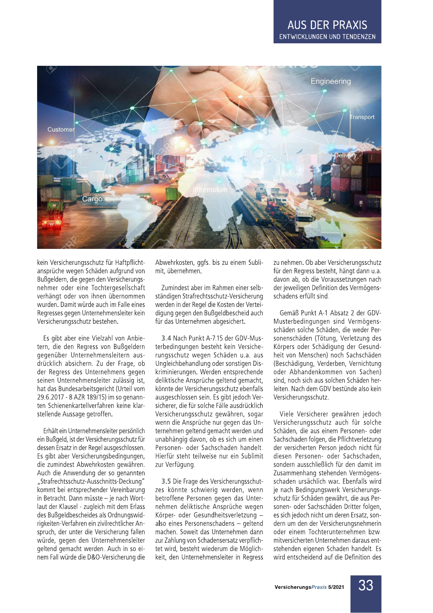# **AUS DER PRAXIS** ENTWICKLUNGEN UND TENDENZEN



kein Versicherungsschutz für Haftpflichtansprüche wegen Schäden aufgrund von Bußgeldern, die gegen den Versicherungsnehmer oder eine Tochtergesellschaft verhängt oder von ihnen übernommen wurden. Damit würde auch im Falle eines Regresses gegen Unternehmensleiter kein Versicherungsschutz bestehen.

Es gibt aber eine Vielzahl von Anbietern, die den Regress von Bußgeldern gegenüber Unternehmensleitern ausdrücklich absichern. Zu der Frage, ob der Regress des Unternehmens gegen seinen Unternehmensleiter zulässig ist, hat das Bundesarbeitsgericht (Urteil vom 29.6.2017 - 8 AZR 189/15) im so genannten Schienenkartellverfahren keine klarstellende Aussage getroffen.

Erhält ein Unternehmensleiter persönlich ein Bußgeld, ist der Versicherungsschutz für dessen Ersatz in der Regel ausgeschlossen. Es gibt aber Versicherungsbedingungen, die zumindest Abwehrkosten gewähren. Auch die Anwendung der so genannten "Strafrechtsschutz-Ausschnitts-Deckung" kommt bei entsprechender Vereinbarung in Betracht. Dann müsste - je nach Wortlaut der Klausel - zugleich mit dem Erlass des Bußgeldbescheides als Ordnungswidrigkeiten-Verfahren ein zivilrechtlicher Anspruch, der unter die Versicherung fallen würde, gegen den Unternehmensleiter geltend gemacht werden. Auch in so einem Fall würde die D&O-Versicherung die Abwehrkosten, ggfs. bis zu einem Sublimit. übernehmen.

Zumindest aber im Rahmen einer selbständigen Strafrechtsschutz-Versicherung werden in der Regel die Kosten der Verteidigung gegen den Bußgeldbescheid auch für das Unternehmen abgesichert.

3.4 Nach Punkt A-7.15 der GDV-Musterbedingungen besteht kein Versicherungsschutz wegen Schäden u.a. aus Ungleichbehandlung oder sonstigen Diskriminierungen. Werden entsprechende deliktische Ansprüche geltend gemacht, könnte der Versicherungsschutz ebenfalls ausgeschlossen sein. Es gibt jedoch Versicherer, die für solche Fälle ausdrücklich Versicherungsschutz gewähren, sogar wenn die Ansprüche nur gegen das Unternehmen geltend gemacht werden und unabhängig davon, ob es sich um einen Personen- oder Sachschaden handelt. Hierfür steht teilweise nur ein Sublimit zur Verfügung.

3.5 Die Frage des Versicherungsschutzes könnte schwierig werden, wenn betroffene Personen gegen das Unternehmen deliktische Ansprüche wegen Körper- oder Gesundheitsverletzung also eines Personenschadens - geltend machen. Soweit das Unternehmen dann zur Zahlung von Schadensersatz verpflichtet wird, besteht wiederum die Möglichkeit, den Unternehmensleiter in Regress

zu nehmen. Ob aber Versicherungsschutz für den Regress besteht, hängt dann u.a. davon ab, ob die Voraussetzungen nach der jeweiligen Definition des Vermögensschadens erfüllt sind.

Gemäß Punkt A-1 Absatz 2 der GDV-Musterbedingungen sind Vermögensschäden solche Schäden, die weder Personenschäden (Tötung, Verletzung des Körpers oder Schädigung der Gesundheit von Menschen) noch Sachschäden (Beschädigung, Verderben, Vernichtung) oder Abhandenkommen von Sachen) sind, noch sich aus solchen Schäden herleiten. Nach dem GDV bestünde also kein Versicherungsschutz.

Viele Versicherer gewähren jedoch Versicherungsschutz auch für solche Schäden, die aus einem Personen- oder Sachschaden folgen, die Pflichtverletzung der versicherten Person jedoch nicht für diesen Personen- oder Sachschaden. sondern ausschließlich für den damit im Zusammenhang stehenden Vermögensschaden ursächlich war. Ebenfalls wird je nach Bedingungswerk Versicherungsschutz für Schäden gewährt, die aus Personen- oder Sachschäden Dritter folgen. es sich jedoch nicht um deren Ersatz, sondern um den der Versicherungsnehmerin oder einem Tochterunternehmen bzw. mitversicherten Unternehmen daraus entstehenden eigenen Schaden handelt. Es wird entscheidend auf die Definition des